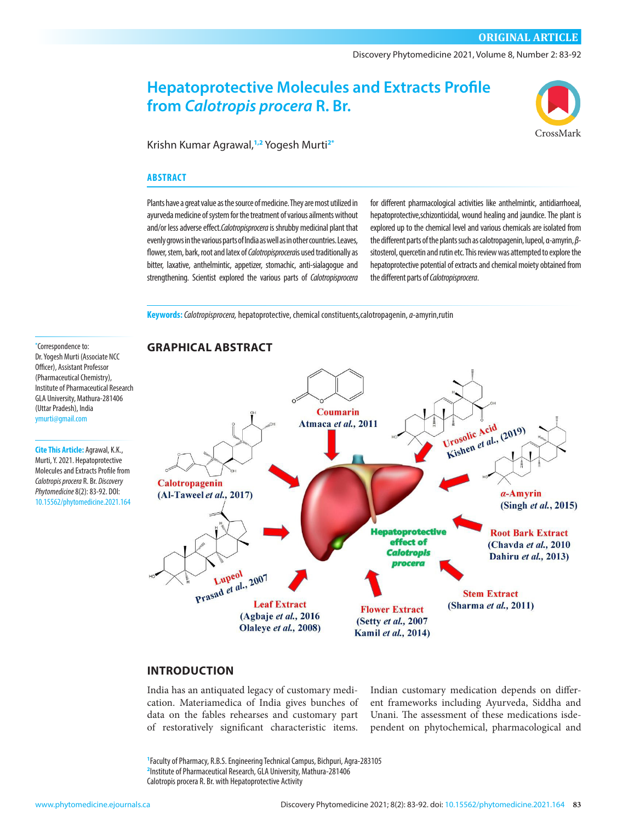Discovery Phytomedicine 2021, Volume 8, Number 2: 83-92

# **Hepatoprotective Molecules and Extracts Profile from** *Calotropis procera* **R. Br.**



Krishn Kumar Agrawal,**1,2** Yogesh Murti**2\***

#### **ABSTRACT**

Plants have a great value as the source of medicine. They are most utilized in ayurveda medicine of system for the treatment of various ailments without and/or less adverse effect.*Calotropisprocera* is shrubby medicinal plant that evenly grows in the various parts of India as well as in other countries. Leaves, flower, stem, bark, root and latex of *Calotropisprocera*is used traditionally as bitter, laxative, anthelmintic, appetizer, stomachic, anti-sialagogue and strengthening. Scientist explored the various parts of *Calotropisprocera*

for different pharmacological activities like anthelmintic, antidiarrhoeal, hepatoprotective,schizonticidal, wound healing and jaundice. The plant is explored up to the chemical level and various chemicals are isolated from the different parts of the plants such as calotropagenin, lupeol, α-amyrin, *β*sitosterol, quercetin and rutin etc. This review was attempted to explore the hepatoprotective potential of extracts and chemical moiety obtained from the different parts of *Calotropisprocera*.

**Keywords:***Calotropisprocera,* hepatoprotective, chemical constituents,calotropagenin, *α*-amyrin,rutin

**\*** Correspondence to: Dr. Yogesh Murti (Associate NCC Officer), Assistant Professor (Pharmaceutical Chemistry), Institute of Pharmaceutical Research GLA University, Mathura-281406 (Uttar Pradesh), India [ymurti@gmail.com](mailto:ymurti@gmail.com)

**Cite This Article:** Agrawal, K.K., Murti, Y. 2021. Hepatoprotective Molecules and Extracts Profile from *Calotropis procera* R. Br. *Discovery Phytomedicine* 8(2): 83-92. DOI: [10.15562/phytomedicine.2021.164](https://doi.org/10.15562/phytomedicine.2021.164)



# **INTRODUCTION**

India has an antiquated legacy of customary medication. Materiamedica of India gives bunches of data on the fables rehearses and customary part of restoratively significant characteristic items.

Indian customary medication depends on different frameworks including Ayurveda, Siddha and Unani. The assessment of these medications isdependent on phytochemical, pharmacological and

**1** Faculty of Pharmacy, R.B.S. Engineering Technical Campus, Bichpuri, Agra-283105 **2** Institute of Pharmaceutical Research, GLA University, Mathura-281406 Calotropis procera R. Br. with Hepatoprotective Activity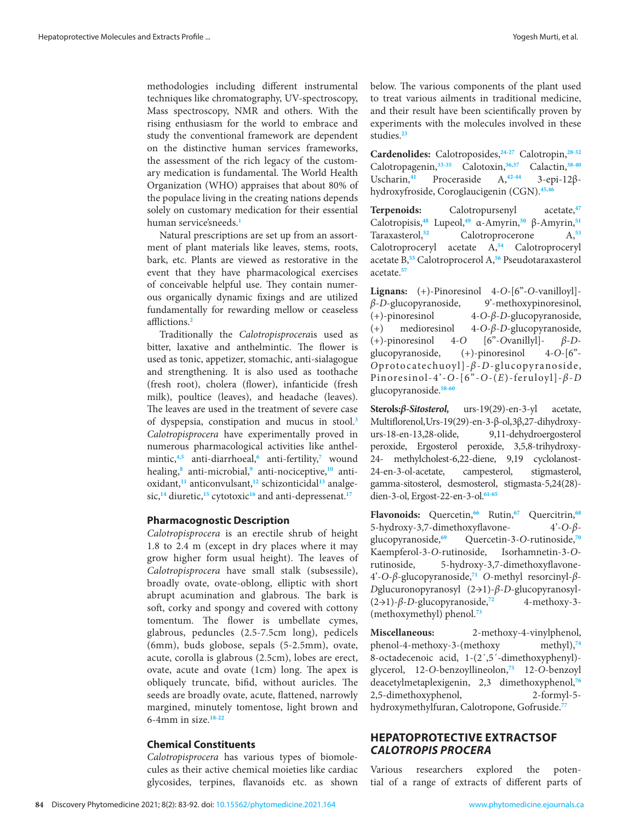methodologies including different instrumental techniques like chromatography, UV-spectroscopy, Mass spectroscopy, NMR and others. With the rising enthusiasm for the world to embrace and study the conventional framework are dependent on the distinctive human services frameworks, the assessment of the rich legacy of the customary medication is fundamental. The World Health Organization (WHO) appraises that about 80% of the populace living in the creating nations depends solely on customary medication for their essential human service'sneeds.**[1](#page-6-0)**

Natural prescriptions are set up from an assortment of plant materials like leaves, stems, roots, bark, etc. Plants are viewed as restorative in the event that they have pharmacological exercises of conceivable helpful use. They contain numerous organically dynamic fixings and are utilized fundamentally for rewarding mellow or ceaseless afflictions.**[2](#page-6-0)**

Traditionally the *Calotropisprocera*is used as bitter, laxative and anthelmintic. The flower is used as tonic, appetizer, stomachic, anti-sialagogue and strengthening. It is also used as toothache (fresh root), cholera (flower), infanticide (fresh milk), poultice (leaves), and headache (leaves). The leaves are used in the treatment of severe case of dyspepsia, constipation and mucus in stool.**[3](#page-6-0)**  *Calotropisprocera* have experimentally proved in numerous pharmacological activities like anthelmintic,**[4,5](#page-6-0)** anti-diarrhoeal,**[6](#page-6-0)** anti-fertility,**[7](#page-6-0)** wound healing,**[8](#page-6-0)** anti-microbial,**[9](#page-6-0)** anti-nociceptive,**[10](#page-7-0)** antioxidant,**[11](#page-7-0)** anticonvulsant,**[12](#page-7-0)** schizonticidal**[13](#page-7-0)** analge-sic,<sup>[14](#page-7-0)</sup> diuretic,<sup>[15](#page-7-0)</sup> cytotoxic<sup>[16](#page-7-0)</sup> and anti-depressenat.<sup>[17](#page-7-0)</sup>

#### **Pharmacognostic Description**

*Calotropisprocera* is an erectile shrub of height 1.8 to 2.4 m (except in dry places where it may grow higher form usual height). The leaves of *Calotropisprocera* have small stalk (subsessile), broadly ovate, ovate-oblong, elliptic with short abrupt acumination and glabrous. The bark is soft, corky and spongy and covered with cottony tomentum. The flower is umbellate cymes, glabrous, peduncles (2.5-7.5cm long), pedicels (6mm), buds globose, sepals (5-2.5mm), ovate, acute, corolla is glabrous (2.5cm), lobes are erect, ovate, acute and ovate (1cm) long. The apex is obliquely truncate, bifid, without auricles. The seeds are broadly ovate, acute, flattened, narrowly margined, minutely tomentose, light brown and 6-4mm in size. **[18-22](#page-7-0)**

#### **Chemical Constituents**

*Calotropisprocera* has various types of biomolecules as their active chemical moieties like cardiac glycosides, terpines, flavanoids etc. as shown

below. The various components of the plant used to treat various ailments in traditional medicine, and their result have been scientifically proven by experiments with the molecules involved in these studies.**[23](#page-7-0)**

**Cardenolides:** Calotroposides,**[24-27](#page-7-0)** Calotropin,**[28-32](#page-7-0)** Calotropagenin,**[33-35](#page-7-0)** Calotoxin,**[36,37](#page-7-0)** Calactin,**[38-40](#page-7-0)** Uscharin,**[41](#page-7-0)** Proceraside A,**[42-44](#page-7-0)** 3-epi-12βhydroxyfroside, Coroglaucigenin (CGN).**[45,46](#page-7-0)**

**Terpenoids:** Calotropursenyl acetate,**[47](#page-7-0)** Calotropisis,**[48](#page-7-0)** Lupeol,**[49](#page-7-0)** α-Amyrin,**[50](#page-7-0)** β-Amyrin,**[51](#page-7-0)** Taraxasterol,**[52](#page-8-0)** Calotroprocerone A,**[53](#page-8-0)** Calotroproceryl acetate A,**[54](#page-8-0)** Calotroproceryl acetate B,**[55](#page-8-0)** Calotroprocerol A,**[56](#page-8-0)** Pseudotaraxasterol acetate.**[57](#page-8-0)**

**Lignans:** (+)-Pinoresinol 4-*O*-[6"-*O*-vanilloyl] *β*-*D*-glucopyranoside, 9'-methoxypinoresinol, (+)-pinoresinol 4-*O*-*β*-*D*-glucopyranoside, (+) medioresinol 4-*O*-*β*-*D*-glucopyranoside, (+)-pinoresinol 4-*O* [6"-*O*vanillyl]- *β*-*D*glucopyranoside, (+)-pinoresinol 4-*O*-[6"- *O*protocatechuoyl]-*β*-*D*-glucopyranoside, Pinoresinol-4'-*O*-[6"-*O*-(*E*)-feruloyl]-*β*-*D*  glucopyranoside.**[58-60](#page-8-0)**

**Sterols:***β-Sitosterol,* urs-19(29)-en-3-yl acetate, Multiflorenol, Urs-19(29)-en-3-β-ol, 3β,27-dihydroxyurs-18-en-13,28-olide, 9,11-dehydroergosterol peroxide, Ergosterol peroxide, 3,5,8-trihydroxy-24- methylcholest-6,22-diene, 9,19 cyclolanost-24-en-3-ol-acetate, campesterol, stigmasterol, gamma-sitosterol, desmosterol, stigmasta-5,24(28) dien-3-ol, Ergost-22-en-3-ol.**[61-65](#page-8-0)**

**Flavonoids:** Quercetin,**[66](#page-8-0)** Rutin,**[67](#page-8-0)** Quercitrin,**[68](#page-8-0)** 5-hydroxy-3,7-dimethoxyflavone- 4'-*O*-*β*glucopyranoside,**[69](#page-8-0)** Quercetin-3-*O-*rutinoside,**[70](#page-8-0)** Kaempferol-3-*O*-rutinoside, Isorhamnetin-3-*O*rutinoside, 5-hydroxy-3,7-dimethoxyflavone-4'-*O*-*β*-glucopyranoside,**[71](#page-8-0)** *O*-methyl resorcinyl-*β*-*D*glucuronopyranosyl (2→1)-*β*-*D*-glucopyranosyl- (2→1)-*β*-*D*-glucopyranoside,**[72](#page-8-0)** 4-methoxy-3- (methoxymethyl) phenol.**[73](#page-8-0)**

**Miscellaneous:** 2-methoxy-4-vinylphenol, phenol-4-methoxy-3-(methoxy methyl),**[74](#page-8-0)** 8-octadecenoic acid, 1-(2´,5´-dimethoxyphenyl) glycerol, 12-*O*-benzoyllineolon,**[75](#page-8-0)** 12-*O*-benzoyl deacetylmetaplexigenin, 2,3 dimethoxyphenol,**[76](#page-8-0)** 2,5-dimethoxyphenol, 2-formyl-5 hydroxymethylfuran, Calotropone, Gofruside.**[77](#page-8-0)**

## **HEPATOPROTECTIVE EXTRACTSOF**  *CALOTROPIS PROCERA*

Various researchers explored the potential of a range of extracts of different parts of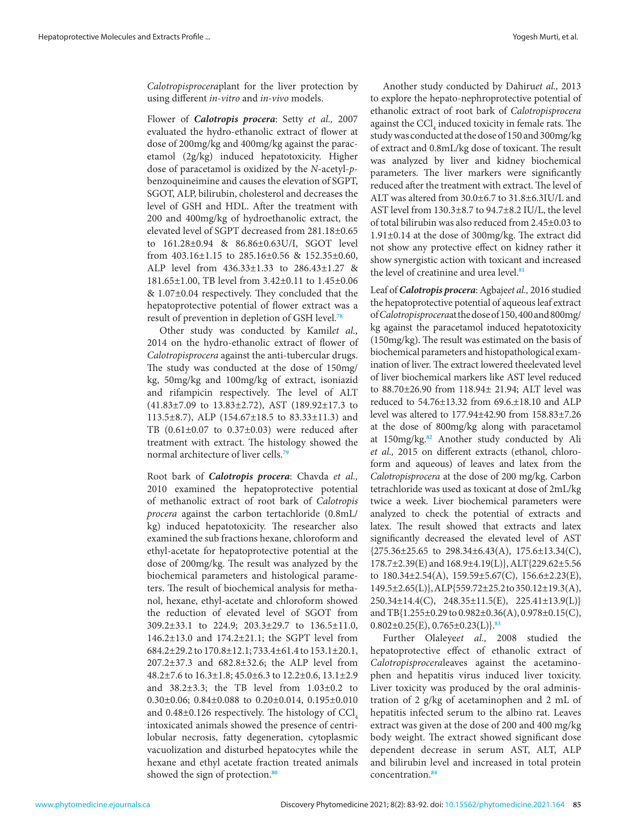*Calotropisprocera*plant for the liver protection by using different *in-vitro* and *in-vivo* models.

Flower of *Calotropis procera*: Setty *et al.,* 2007 evaluated the hydro-ethanolic extract of flower at dose of 200mg/kg and 400mg/kg against the paracetamol (2g/kg) induced hepatotoxicity. Higher dose of paracetamol is oxidized by the *N*-acetyl-*p*benzoquineimine and causes the elevation of SGPT, SGOT, ALP, bilirubin, cholesterol and decreases the level of GSH and HDL. After the treatment with 200 and 400mg/kg of hydroethanolic extract, the elevated level of SGPT decreased from 281.18±0.65 to 161.28±0.94 & 86.86±0.63U/I, SGOT level from 403.16±1.15 to 285.16±0.56 & 152.35±0.60, ALP level from 436.33±1.33 to 286.43±1.27 & 181.65±1.00, TB level from 3.42±0.11 to 1.45±0.06 & 1.07±0.04 respectively. They concluded that the hepatoprotective potential of flower extract was a result of prevention in depletion of GSH level.**[78](#page-8-0)**

Other study was conducted by Kamil*et al.,* 2014 on the hydro-ethanolic extract of flower of *Calotropisprocera* against the anti-tubercular drugs. The study was conducted at the dose of 150mg/ kg, 50mg/kg and 100mg/kg of extract, isoniazid and rifampicin respectively. The level of ALT (41.83±7.09 to 13.83±2.72), AST (189.92±17.3 to 113.5±8.7), ALP (154.67±18.5 to 83.33±11.3) and TB (0.61±0.07 to 0.37±0.03) were reduced after treatment with extract. The histology showed the normal architecture of liver cells.**[79](#page-8-0)**

Root bark of *Calotropis procera*: Chavda *et al.,* 2010 examined the hepatoprotective potential of methanolic extract of root bark of *Calotropis procera* against the carbon tertachloride (0.8mL/ kg) induced hepatotoxicity. The researcher also examined the sub fractions hexane, chloroform and ethyl-acetate for hepatoprotective potential at the dose of 200mg/kg. The result was analyzed by the biochemical parameters and histological parameters. The result of biochemical analysis for methanol, hexane, ethyl-acetate and chloroform showed the reduction of elevated level of SGOT from 309.2±33.1 to 224.9; 203.3±29.7 to 136.5±11.0, 146.2±13.0 and 174.2±21.1; the SGPT level from 684.2±29.2 to 170.8±12.1; 733.4±61.4 to 153.1±20.1, 207.2±37.3 and 682.8±32.6; the ALP level from 48.2±7.6 to 16.3±1.8; 45.0±6.3 to 12.2±0.6, 13.1±2.9 and  $38.2\pm3.3$ ; the TB level from  $1.03\pm0.2$  to 0.30±0.06; 0.84±0.088 to 0.20±0.014, 0.195±0.010 and  $0.48\pm0.126$  respectively. The histology of CCl. intoxicated animals showed the presence of centrilobular necrosis, fatty degeneration, cytoplasmic vacuolization and disturbed hepatocytes while the hexane and ethyl acetate fraction treated animals showed the sign of protection.**[80](#page-8-0)**

Another study conducted by Dahiru*et al.,* 2013 to explore the hepato-nephroprotective potential of ethanolic extract of root bark of *Calotropisprocera* against the  $\text{CCl}_4$  induced toxicity in female rats. The study was conducted at the dose of 150 and 300mg/kg of extract and 0.8mL/kg dose of toxicant. The result was analyzed by liver and kidney biochemical parameters. The liver markers were significantly reduced after the treatment with extract. The level of ALT was altered from 30.0±6.7 to 31.8±6.3IU/L and AST level from 130.3±8.7 to 94.7±8.2 IU/L, the level of total bilirubin was also reduced from 2.45±0.03 to 1.91±0.14 at the dose of 300mg/kg. The extract did not show any protective effect on kidney rather it show synergistic action with toxicant and increased the level of creatinine and urea level.**[81](#page-8-0)**

Leaf of *Calotropis procera*: Agbaje*et al.,* 2016 studied the hepatoprotective potential of aqueous leaf extract of *Calotropisprocera*at the dose of 150, 400 and 800mg/ kg against the paracetamol induced hepatotoxicity (150mg/kg). The result was estimated on the basis of biochemical parameters and histopathological examination of liver. The extract lowered theelevated level of liver biochemical markers like AST level reduced to 88.70±26.90 from 118.94± 21.94; ALT level was reduced to 54.76±13.32 from 69.6.±18.10 and ALP level was altered to 177.94±42.90 from 158.83±7.26 at the dose of 800mg/kg along with paracetamol at 150mg/kg.**[82](#page-8-0)** Another study conducted by Ali *et al.,* 2015 on different extracts (ethanol, chloroform and aqueous) of leaves and latex from the *Calotropisprocera* at the dose of 200 mg/kg. Carbon tetrachloride was used as toxicant at dose of 2mL/kg twice a week. Liver biochemical parameters were analyzed to check the potential of extracts and latex. The result showed that extracts and latex significantly decreased the elevated level of AST  ${275.36 \pm 25.65}$  to  $298.34 \pm 6.43(A), 175.6 \pm 13.34(C),$ 178.7±2.39(E) and 168.9±4.19(L)}, ALT{229.62±5.56 to 180.34±2.54(A), 159.59±5.67(C), 156.6±2.23(E), 149.5±2.65(L)}, ALP{559.72±25.2 to 350.12±19.3(A), 250.34±14.4(C), 248.35±11.5(E), 225.41±13.9(L)} and TB{1.255±0.29 to 0.982±0.36(A), 0.978±0.15(C), 0.802±0.25(E), 0.765±0.23(L)}.**[83](#page-8-0)**

Further Olaleye*et al.,* 2008 studied the hepatoprotective effect of ethanolic extract of *Calotropisprocera*leaves against the acetaminophen and hepatitis virus induced liver toxicity. Liver toxicity was produced by the oral administration of 2 g/kg of acetaminophen and 2 mL of hepatitis infected serum to the albino rat. Leaves extract was given at the dose of 200 and 400 mg/kg body weight. The extract showed significant dose dependent decrease in serum AST, ALT, ALP and bilirubin level and increased in total protein concentration.**[84](#page-8-0)**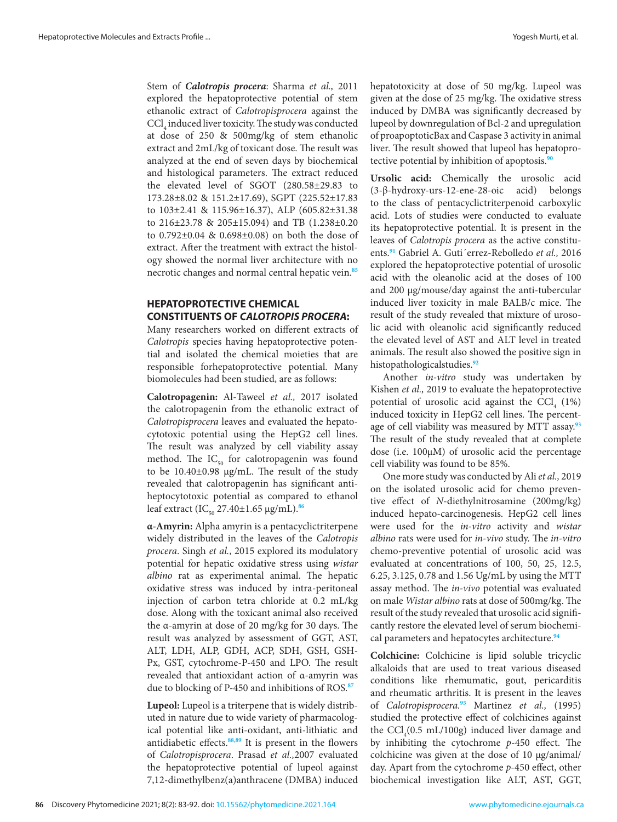Stem of *Calotropis procera*: Sharma *et al.,* 2011 explored the hepatoprotective potential of stem ethanolic extract of *Calotropisprocera* against the  $\mathrm{CCl}_{4}$  induced liver toxicity. The study was conducted at dose of 250 & 500mg/kg of stem ethanolic extract and 2mL/kg of toxicant dose. The result was analyzed at the end of seven days by biochemical and histological parameters. The extract reduced the elevated level of SGOT (280.58±29.83 to 173.28±8.02 & 151.2±17.69), SGPT (225.52±17.83 to 103±2.41 & 115.96±16.37), ALP (605.82±31.38 to 216±23.78 & 205±15.094) and TB (1.238±0.20 to 0.792±0.04 & 0.698±0.08) on both the dose of extract. After the treatment with extract the histology showed the normal liver architecture with no necrotic changes and normal central hepatic vein.**[85](#page-8-0)**

## **HEPATOPROTECTIVE CHEMICAL CONSTITUENTS OF** *CALOTROPIS PROCERA***:**

Many researchers worked on different extracts of *Calotropis* species having hepatoprotective potential and isolated the chemical moieties that are responsible forhepatoprotective potential. Many biomolecules had been studied, are as follows:

**Calotropagenin:** Al-Taweel *et al.,* 2017 isolated the calotropagenin from the ethanolic extract of *Calotropisprocera* leaves and evaluated the hepatocytotoxic potential using the HepG2 cell lines. The result was analyzed by cell viability assay method. The  $IC_{50}$  for calotropagenin was found to be 10.40±0.98 µg/mL. The result of the study revealed that calotropagenin has significant antiheptocytotoxic potential as compared to ethanol leaf extract (IC<sub>50</sub> 27.40±1.65 μg/mL).<sup>[86](#page-8-0)</sup>

**α-Amyrin:** Alpha amyrin is a pentacyclictriterpene widely distributed in the leaves of the *Calotropis procera*. Singh *et al.*, 2015 explored its modulatory potential for hepatic oxidative stress using *wistar albino* rat as experimental animal. The hepatic oxidative stress was induced by intra-peritoneal injection of carbon tetra chloride at 0.2 mL/kg dose. Along with the toxicant animal also received the α-amyrin at dose of 20 mg/kg for 30 days. The result was analyzed by assessment of GGT, AST, ALT, LDH, ALP, GDH, ACP, SDH, GSH, GSH-Px, GST, cytochrome-P-450 and LPO. The result revealed that antioxidant action of α-amyrin was due to blocking of P-450 and inhibitions of ROS.**[87](#page-8-0)**

**Lupeol:** Lupeol is a triterpene that is widely distributed in nature due to wide variety of pharmacological potential like anti-oxidant, anti-lithiatic and antidiabetic effects.**[88,89](#page-8-0)** It is present in the flowers of *Calotropisprocera*. Prasad *et al.,*2007 evaluated the hepatoprotective potential of lupeol against 7,12-dimethylbenz(a)anthracene (DMBA) induced hepatotoxicity at dose of 50 mg/kg. Lupeol was given at the dose of 25 mg/kg. The oxidative stress induced by DMBA was significantly decreased by lupeol by downregulation of Bcl-2 and upregulation of proapoptoticBax and Caspase 3 activity in animal liver. The result showed that lupeol has hepatoprotective potential by inhibition of apoptosis.**[90](#page-8-0)**

**Ursolic acid:** Chemically the urosolic acid (3-β-hydroxy-urs-12-ene-28-oic acid) belongs to the class of pentacyclictriterpenoid carboxylic acid. Lots of studies were conducted to evaluate its hepatoprotective potential. It is present in the leaves of *Calotropis procera* as the active constituents.**[91](#page-8-0)** Gabriel A. Guti´errez-Rebolledo *et al.,* 2016 explored the hepatoprotective potential of urosolic acid with the oleanolic acid at the doses of 100 and 200 µg/mouse/day against the anti-tubercular induced liver toxicity in male BALB/c mice. The result of the study revealed that mixture of urosolic acid with oleanolic acid significantly reduced the elevated level of AST and ALT level in treated animals. The result also showed the positive sign in histopathologicalstudies.**[92](#page-9-0)**

Another *in-vitro* study was undertaken by Kishen *et al.,* 2019 to evaluate the hepatoprotective potential of urosolic acid against the  $\text{CCl}_4$  (1%) induced toxicity in HepG2 cell lines. The percentage of cell viability was measured by MTT assay.**[93](#page-9-0)** The result of the study revealed that at complete dose (i.e. 100µM) of urosolic acid the percentage cell viability was found to be 85%.

One more study was conducted by Ali *et al.,* 2019 on the isolated urosolic acid for chemo preventive effect of *N*-diethylnitrosamine (200mg/kg) induced hepato-carcinogenesis. HepG2 cell lines were used for the *in-vitro* activity and *wistar albino* rats were used for *in-vivo* study. The *in-vitro* chemo-preventive potential of urosolic acid was evaluated at concentrations of 100, 50, 25, 12.5, 6.25, 3.125, 0.78 and 1.56 Ug/mL by using the MTT assay method. The *in-vivo* potential was evaluated on male *Wistar albino* rats at dose of 500mg/kg. The result of the study revealed that urosolic acid significantly restore the elevated level of serum biochemical parameters and hepatocytes architecture.**[94](#page-9-0)**

**Colchicine:** Colchicine is lipid soluble tricyclic alkaloids that are used to treat various diseased conditions like rhemumatic, gout, pericarditis and rheumatic arthritis. It is present in the leaves of *Calotropisprocera.***[95](#page-9-0)** Martinez *et al.,* (1995) studied the protective effect of colchicines against the  $\text{CCl}_4(0.5 \text{ mL}/100 \text{g})$  induced liver damage and by inhibiting the cytochrome *p*-450 effect. The colchicine was given at the dose of 10 µg/animal/ day. Apart from the cytochrome *p*-450 effect, other biochemical investigation like ALT, AST, GGT,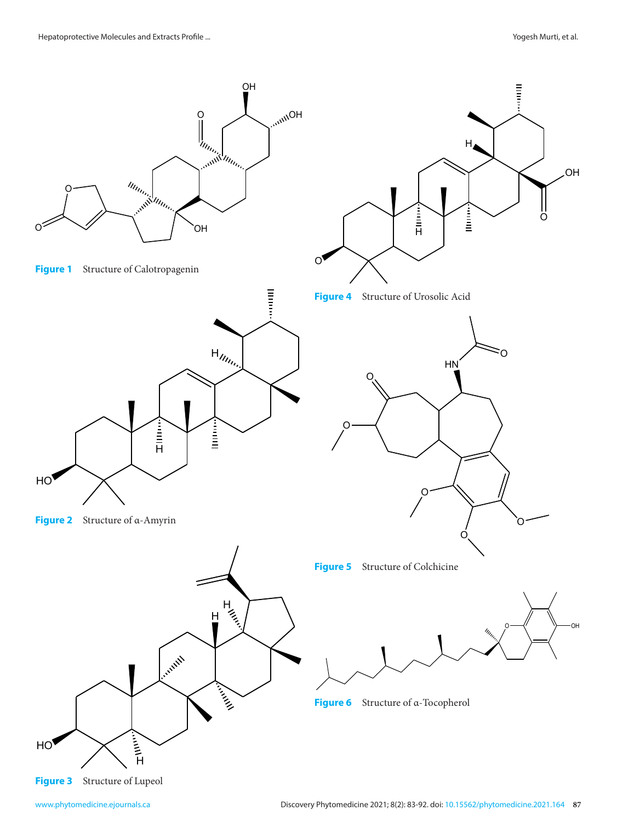

www.phytomedicine.ejournals.ca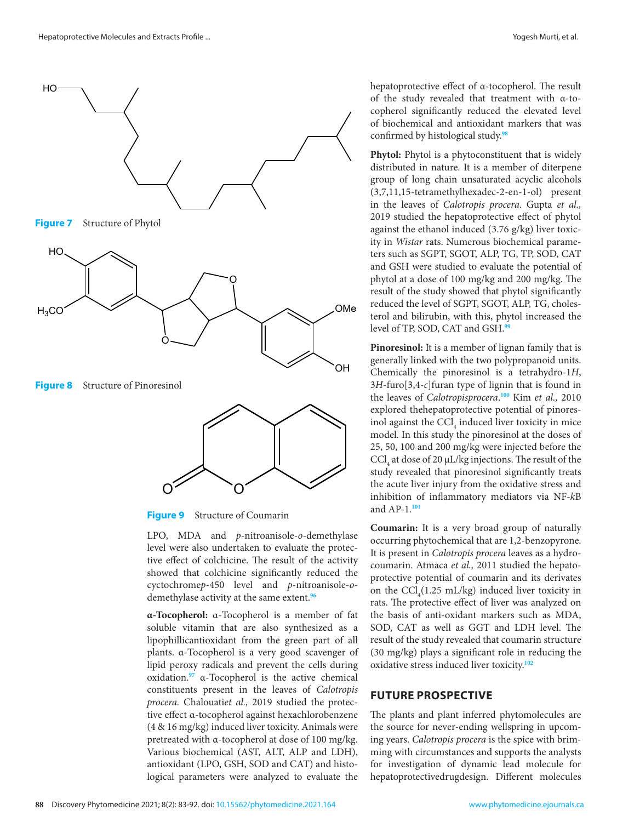

**Figure 8** Structure of Pinoresinol



**Figure 9** Structure of Coumarin

LPO, MDA and *p*-nitroanisole-*o*-demethylase **Coumarin:** It is Level were also undertaken to evaluate the protec-<br>level were also undertaken to evaluate the protec-<br>It is present in *Ca* tive the diso-differential the behalf of the hepothesis of the setting the protective present in  $Ca$ <br>tive effect of colchicine. The result of the activity showed that colchicine significantly reduced the coumarin. Atmaca *et al.*, 2011 studied cyctochromep-450 level and p-nitroanisole-o-<br>on the CCl  $(1.25 \text{ mL/kg})$  induced live demethylase activity at the same extent.<sup>96</sup>  $\frac{\text{SFR}}{\text{rats}}$  The protection level were also undertaken to evaluate the protec-<br>tive effect of colchicine. The result of the activity

**α-Tocopherol:** α-Tocopherol is a member of fat the basis of anti-oxidant markers surface the research more exploration of the research more exploration of the research more exploration of the research more exploration of soluble vitamin that are also synthesized as a soluble vitainin that are also synthesized as a SOD, CAT as well as GGT and LD.<br>lipophillicantioxidant from the green part of all result of the study revealed that couma plants. α-Tocopherol is a very good scavenger of (30 mg/kg) plays a significant role in lipid peroxy radicals and prevent the cells during oxidative stress induced liver toxicity.<sup>1</sup> oxidation.<sup>[97](#page-9-0)</sup> α-Tocopherol is the active chemical proceration of *Calotropis* process process process process process process process process process process process process process process process process process proces constituents present in the leaves of *Calotropis procera.* Chalouati*et al.,* 2019 studied the protective effect α-tocopherol against hexachlorobenzene The plants and plant inferred phyton  $(4 \& 16 \text{ mg/kg})$  induced liver toxicity. Animals were the source for never-ending wellsprin pretreated with α-tocopherol at dose of 100 mg/kg. pretreated with a-tocopherol at dose of 100 mg/kg. Ing years. Calotropis procera is the spice<br>Various biochemical (AST, ALT, ALP and LDH), Iming with circumstances and supports antioxidant (LPO, GSH, SOD and CAT) and histo-<br>for investigation of dynamic lead r logical parameters were analyzed to evaluate the  $\alpha$ -1  $\log$ 

hepatoprotective effect of α-tocopherol. The result of the study revealed that treatment with α-tocopherol significantly reduced the elevated level of biochemical and antioxidant markers that was confirmed by histological study.**[98](#page-9-0)**

**Phytol:** Phytol is a phytoconstituent that is widely distributed in nature. It is a member of diterpene group of long chain unsaturated acyclic alcohols (3,7,11,15-tetramethylhexadec-2-en-1-ol) present in the leaves of *Calotropis procera*. Gupta *et al.,*  2019 studied the hepatoprotective effect of phytol against the ethanol induced (3.76 g/kg) liver toxicity in *Wistar* rats. Numerous biochemical parameters such as SGPT, SGOT, ALP, TG, TP, SOD, CAT and GSH were studied to evaluate the potential of phytol at a dose of 100 mg/kg and 200 mg/kg. The terol and bilirubin, with this, phytol increased the level of TP, SOD, CAT and GSH.**[99](#page-9-0)**

**Pinoresinol:** It is a member of lignan family that is generally linked with the two polypropanoid units. Chemically the pinoresinol is a tetrahydro-1*H*, 3*H*-furo[3,4-*c*]furan type of lignin that is found in the leaves of *Calotropisprocera*. **[100](#page-9-0)** Kim *et al.,* 2010 explored thehepatoprotective potential of pinoresinol against the CCl<sub>4</sub> induced liver toxicity in mice model. In this study the pinoresinol at the doses of 25, 50, 100 and 200 mg/kg were injected before the  $\ensuremath{\mathrm{CCl}}_4$  at dose of 20  $\upmu\text{L/kg}$  injections. The result of the study revealed that pinoresinol significantly treats the acute liver injury from the oxidative stress and inhibition of inflammatory mediators via NF-*k*B and AP-1.**[101](#page-9-0)**

**Coumarin:** It is a very broad group of naturally occurring phytochemical that are 1,2-benzopyrone. coumarin. Atmaca *et al.,* 2011 studied the hepatoprotective potential of coumarin and its derivates on the  $\text{CCl}_4(1.25 \text{ mL/kg})$  induced liver toxicity in demethylase activity at the same extent.<sup>96</sup> rats. The protective effect of liver was analyzed on the basis of anti-oxidant markers such as MDA, SOD, CAT as well as GGT and LDH level. The result of the study revealed that coumarin structure (30 mg/kg) plays a significant role in reducing the oxidative stress induced liver toxicity.**[102](#page-9-0)**

# **FUTURE PROSPECTIVE**

The plants and plant inferred phytomolecules are the source for never-ending wellspring in upcoming years. *Calotropis procera* is the spice with brimming with circumstances and supports the analysts for investigation of dynamic lead molecule for hepatoprotectivedrugdesign. Different molecules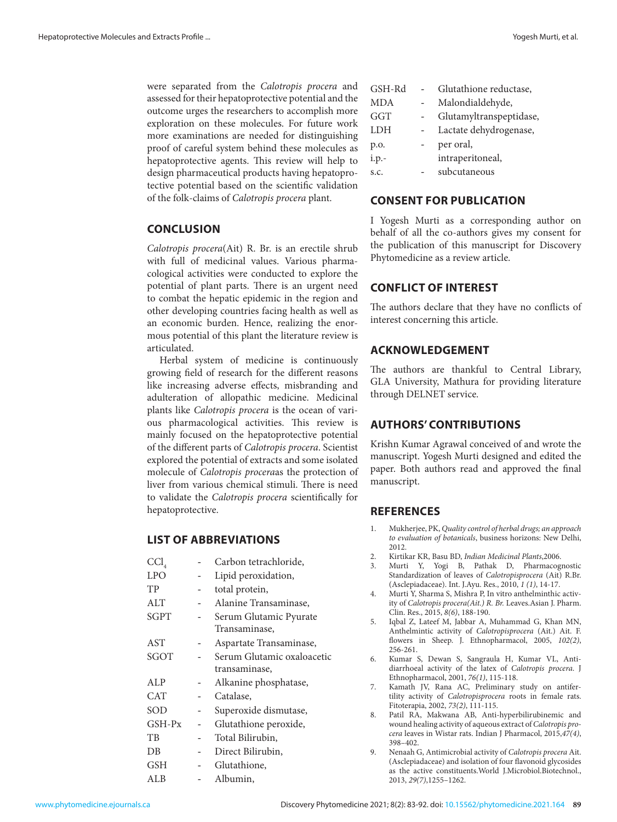<span id="page-6-0"></span>were separated from the *Calotropis procera* and assessed for their hepatoprotective potential and the outcome urges the researchers to accomplish more exploration on these molecules. For future work more examinations are needed for distinguishing proof of careful system behind these molecules as hepatoprotective agents. This review will help to design pharmaceutical products having hepatoprotective potential based on the scientific validation of the folk-claims of *Calotropis procera* plant.

## **CONCLUSION**

*Calotropis procera*(Ait) R. Br. is an erectile shrub with full of medicinal values. Various pharmacological activities were conducted to explore the potential of plant parts. There is an urgent need to combat the hepatic epidemic in the region and other developing countries facing health as well as an economic burden. Hence, realizing the enormous potential of this plant the literature review is articulated.

Herbal system of medicine is continuously growing field of research for the different reasons like increasing adverse effects, misbranding and adulteration of allopathic medicine. Medicinal plants like *Calotropis procera* is the ocean of various pharmacological activities. This review is mainly focused on the hepatoprotective potential of the different parts of *Calotropis procera*. Scientist explored the potential of extracts and some isolated molecule of *Calotropis procera*as the protection of liver from various chemical stimuli. There is need to validate the *Calotropis procera* scientifically for hepatoprotective.

## **LIST OF ABBREVIATIONS**

| $\mathrm{CCl}_{_{4}}$ | Carbon tetrachloride,      |
|-----------------------|----------------------------|
| <b>LPO</b>            | Lipid peroxidation,        |
| TP                    | total protein,             |
| ALT                   | Alanine Transaminase,      |
| <b>SGPT</b>           | Serum Glutamic Pyurate     |
|                       | Transaminase,              |
| AST                   | Aspartate Transaminase,    |
| SGOT                  | Serum Glutamic oxaloacetic |
|                       | transaminase,              |
| ALP                   | Alkanine phosphatase,      |
| <b>CAT</b>            | Catalase,                  |
| SOD                   | Superoxide dismutase,      |
| $GSH-Px$              | Glutathione peroxide,      |
| TВ                    | Total Bilirubin,           |
| DB                    | Direct Bilirubin,          |
| <b>GSH</b>            | Glutathione,               |
| ALB                   | Albumin,                   |

| GSH-Rd | Glutathione reductase,  |
|--------|-------------------------|
| MDA    | Malondialdehyde,        |
| GGT    | Glutamyltranspeptidase, |
| LDH    | Lactate dehydrogenase,  |
| p.o.   | per oral,               |
| i.p.-  | intraperitoneal,        |
| S.C.   | subcutaneous            |

## **CONSENT FOR PUBLICATION**

I Yogesh Murti as a corresponding author on behalf of all the co-authors gives my consent for the publication of this manuscript for Discovery Phytomedicine as a review article.

# **CONFLICT OF INTEREST**

The authors declare that they have no conflicts of interest concerning this article.

## **ACKNOWLEDGEMENT**

The authors are thankful to Central Library, GLA University, Mathura for providing literature through DELNET service.

# **AUTHORS' CONTRIBUTIONS**

Krishn Kumar Agrawal conceived of and wrote the manuscript. Yogesh Murti designed and edited the paper. Both authors read and approved the final manuscript.

## **REFERENCES**

- 1. Mukherjee, PK, *Quality control of herbal drugs; an approach to evaluation of botanicals*, business horizons: New Delhi, 2012.
- 2. Kirtikar KR, Basu BD, *Indian Medicinal Plants*,2006.
- 3. Murti Y, Yogi B, Pathak D, Pharmacognostic Standardization of leaves of *Calotropisprocera* (Ait) R.Br. (Asclepiadaceae). Int. J.Ayu. Res., 2010, *1 (1)*, 14-17.
- 4. Murti Y, Sharma S, Mishra P, In vitro anthelminthic activity of *Calotropis procera(Ait.) R. Br.* Leaves.Asian J. Pharm. Clin. Res., 2015, *8(6)*, 188-190.
- 5. Iqbal Z, Lateef M, Jabbar A, Muhammad G, Khan MN, Anthelmintic activity of *Calotropisprocera* (Ait.) Ait. F. flowers in Sheep. J. Ethnopharmacol, 2005, *102(2)*, 256-261.
- 6. Kumar S, Dewan S, Sangraula H, Kumar VL, Antidiarrhoeal activity of the latex of *Calotropis procera*. J Ethnopharmacol, 2001, *76(1)*, 115-118.
- 7. Kamath JV, Rana AC, Preliminary study on antifertility activity of *Calotropisprocera* roots in female rats. Fitoterapia, 2002, *73(2)*, 111-115.
- 8. Patil RA, Makwana AB, Anti-hyperbilirubinemic and wound healing activity of aqueous extract of *Calotropis procera* leaves in Wistar rats. Indian J Pharmacol, 2015,*47(4)*, 398–402.
- 9. Nenaah G, Antimicrobial activity of *Calotropis procera* Ait. (Asclepiadaceae) and isolation of four flavonoid glycosides as the active constituents.World J.Microbiol.Biotechnol., 2013, *29(7)*,1255–1262.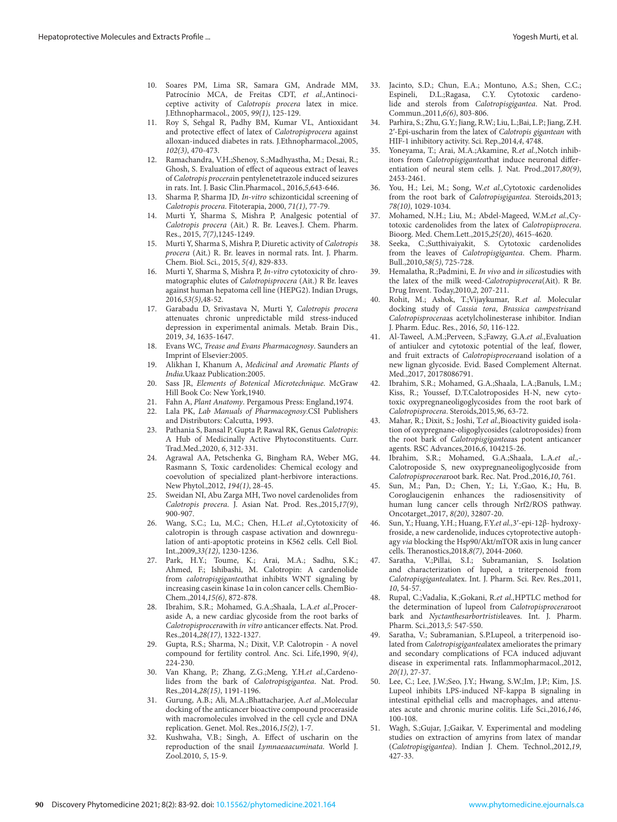- <span id="page-7-0"></span>10. Soares PM, Lima SR, Samara GM, Andrade MM, Patrocínio MCA, de Freitas CDT, *et al.,*Antinociceptive activity of *Calotropis procera* latex in mice. J.Ethnopharmacol., 2005, *99(1)*, 125-129.
- 11. Roy S, Sehgal R, Padhy BM, Kumar VL, Antioxidant and protective effect of latex of *Calotropisprocera* against alloxan-induced diabetes in rats. J.Ethnopharmacol.,2005, *102(3)*, 470-473.
- 12. Ramachandra, V.H.;Shenoy, S.;Madhyastha, M.; Desai, R.; Ghosh, S. Evaluation of effect of aqueous extract of leaves of *Calotropis procera*in pentylenetetrazole induced seizures in rats. Int. J. Basic Clin.Pharmacol., 2016,*5*,643-646.
- 13. Sharma P, Sharma JD, *In-vitro* schizonticidal screening of *Calotropis procera*. Fitoterapia, 2000, *71(1)*, 77-79.
- 14. Murti Y, Sharma S, Mishra P, Analgesic potential of *Calotropis procera* (Ait.) R. Br. Leaves*.*J. Chem. Pharm. Res., 2015, *7(7)*,1245-1249.
- 15. Murti Y, Sharma S, Mishra P, Diuretic activity of *Calotropis procera* (Ait.) R. Br. leaves in normal rats. Int. J. Pharm. Chem. Biol. Sci., 2015, *5(4)*, 829-833.
- 16. Murti Y, Sharma S, Mishra P, *In-vitro* cytotoxicity of chromatographic elutes of *Calotropisprocera* (Ait.) R Br. leaves against human hepatoma cell line (HEPG2). Indian Drugs, 2016,*53(5)*,48-52.
- 17. Garabadu D, Srivastava N, Murti Y, *Calotropis procera*  attenuates chronic unpredictable mild stress-induced depression in experimental animals. Metab. Brain Dis., 2019, *34*, 1635-1647.
- 18. Evans WC, *Trease and Evans Pharmacognosy*. Saunders an Imprint of Elsevier:2005.
- 19. Alikhan I, Khanum A, *Medicinal and Aromatic Plants of India*.Ukaaz Publication:2005.
- 20. Sass JR, *Elements of Botenical Microtechnique*. McGraw Hill Book Co: New York,1940.
- 21. Fahn A, *Plant Anatomy*. Pergamous Press: England,1974.
- Lala PK, *Lab Manuals of Pharmacognosy*.CSI Publishers and Distributors: Calcutta, 1993.
- 23. Pathania S, Bansal P, Gupta P, Rawal RK, Genus *Calotropis*: A Hub of Medicinally Active Phytoconstituents. Curr. Trad.Med.,2020, *6*, 312-331.
- 24. Agrawal AA, Petschenka G, Bingham RA, Weber MG, Rasmann S, Toxic cardenolides: Chemical ecology and coevolution of specialized plant-herbivore interactions. New Phytol.,2012, *194(1)*, 28-45.
- 25. Sweidan NI, Abu Zarga MH, Two novel cardenolides from *Calotropis procera*. J. Asian Nat. Prod. Res.,2015,*17(9)*, 900-907.
- 26. Wang, S.C.; Lu, M.C.; Chen, H.L.*et al.,*Cytotoxicity of calotropin is through caspase activation and downregulation of anti-apoptotic proteins in K562 cells. Cell Biol. Int.,2009,*33(12)*, 1230-1236.
- 27. Park, H.Y.; Toume, K.; Arai, M.A.; Sadhu, S.K.; Ahmed, F.; Ishibashi, M. Calotropin: A cardenolide from *calotropisgigantea*that inhibits WNT signaling by increasing casein kinase 1α in colon cancer cells. ChemBio-Chem.,2014,*15(6)*, 872-878.
- 28. Ibrahim, S.R.; Mohamed, G.A.;Shaala, L.A.*et al.,*Proceraside A, a new cardiac glycoside from the root barks of *Calotropisprocera*with *in vitro* anticancer effects. Nat. Prod. Res.,2014,*28(17)*, 1322-1327.
- 29. Gupta, R.S.; Sharma, N.; Dixit, V.P. Calotropin A novel compound for fertility control. Anc. Sci. Life,1990, *9(4)*, 224-230.
- 30. Van Khang, P.; Zhang, Z.G.;Meng, Y.H.*et al.,*Cardenolides from the bark of *Calotropisgigantea*. Nat. Prod. Res.,2014,*28(15)*, 1191-1196.
- 31. Gurung, A.B.; Ali, M.A.;Bhattacharjee, A.*et al.,*Molecular docking of the anticancer bioactive compound proceraside with macromolecules involved in the cell cycle and DNA replication. Genet. Mol. Res.,2016,*15(2)*, 1-7.
- 32. Kushwaha, V.B.; Singh, A. Effect of uscharin on the reproduction of the snail *Lymnaeaacuminata*. World J. Zool.2010, *5*, 15-9.
- 33. Jacinto, S.D.; Chun, E.A.; Montuno, A.S.; Shen, C.C.; Espineli, D.L.;Ragasa, C.Y. Cytotoxic cardenolide and sterols from *Calotropisgigantea*. Nat. Prod. Commun.,2011,*6(6)*, 803-806.
- 34. Parhira, S.; Zhu, G.Y.; Jiang, R.W.; Liu, L.;Bai, L.P.; Jiang, Z.H. 2′-Epi-uscharin from the latex of *Calotropis gigantean* with HIF-1 inhibitory activity. Sci. Rep.,2014,*4*, 4748.
- 35. Yoneyama, T.; Arai, M.A.;Akamine, R.*et al.,*Notch inhibitors from *Calotropisgigantea*that induce neuronal differentiation of neural stem cells. J. Nat. Prod.,2017,*80(9)*, 2453-2461.
- 36. You, H.; Lei, M.; Song, W.*et al.,*Cytotoxic cardenolides from the root bark of *Calotropisgigantea*. Steroids,2013; *78(10)*, 1029-1034.
- 37. Mohamed, N.H.; Liu, M.; Abdel-Mageed, W.M.*et al.,*Cytotoxic cardenolides from the latex of *Calotropisprocera*. Bioorg. Med. Chem.Lett.,2015,*25(20)*, 4615-4620.
- 38. Seeka, C.;Sutthivaiyakit, S. Cytotoxic cardenolides from the leaves of *Calotropisgigantea*. Chem. Pharm. Bull.,2010,*58(5)*, 725-728.
- 39. Hemalatha, R.;Padmini, E. *In vivo* and *in silico*studies with the latex of the milk weed-*Calotropisprocera*(Ait). R Br. Drug Invent. Today,2010,*2*, 207-211.
- 40. Rohit, M.; Ashok, T.;Vijaykumar, R.*et al.* Molecular docking study of *Cassia tora*, *Brassica campestris*and *Calotropisprocera*as acetylcholinesterase inhibitor. Indian J. Pharm. Educ. Res., 2016, *50*, 116-122.
- 41. Al-Taweel, A.M.;Perveen, S.;Fawzy, G.A.*et al.,*Evaluation of antiulcer and cytotoxic potential of the leaf, flower, and fruit extracts of *Calotropisprocera*and isolation of a new lignan glycoside. Evid. Based Complement Alternat. Med.,2017, 20178086791.
- 42. Ibrahim, S.R.; Mohamed, G.A.;Shaala, L.A.;Banuls, L.M.; Kiss, R.; Youssef, D.T.Calotroposides H-N, new cytotoxic oxypregnaneoligoglycosides from the root bark of *Calotropisprocera*. Steroids,2015,*96*, 63-72.
- 43. Mahar, R.; Dixit, S.; Joshi, T.*et al.,*Bioactivity guided isolation of oxypregnane-oligoglycosides (calotroposides) from the root bark of *Calotropisgigantea*as potent anticancer agents. RSC Advances,2016,*6*, 104215-26.
- 44. Ibrahim, S.R.; Mohamed, G.A.;Shaala, L.A.*et al.,-* Calotroposide S, new oxypregnaneoligoglycoside from *Calotropisprocera*root bark. Rec. Nat. Prod.,2016,*10*, 761.
- 45. Sun, M.; Pan, D.; Chen, Y.; Li, Y.;Gao, K.; Hu, B. Coroglaucigenin enhances the radiosensitivity of human lung cancer cells through Nrf2/ROS pathway. Oncotarget.,2017, *8(20)*, 32807-20.
- 46. Sun, Y.; Huang, Y.H.; Huang, F.Y.*et al.,*3′-epi-12β- hydroxyfroside, a new cardenolide, induces cytoprotective autophagy *via* blocking the Hsp90/Akt/mTOR axis in lung cancer cells. Theranostics,2018,*8(7)*, 2044-2060.
- 47. Saratha, V.;Pillai, S.I.; Subramanian, S. Isolation and characterization of lupeol, a triterpenoid from *Calotropisgigantea*latex. Int. J. Pharm. Sci. Rev. Res.,2011, *10*, 54-57.
- 48. Rupal, C.;Vadalia, K.;Gokani, R.*et al.,*HPTLC method for the determination of lupeol from *Calotropisprocera*root bark and *Nyctanthesarbortristis*leaves. Int. J. Pharm. Pharm. Sci.,2013,*5*: 547-550.
- 49. Saratha, V.; Subramanian, S.P.Lupeol, a triterpenoid isolated from *Calotropisgigantea*latex ameliorates the primary and secondary complications of FCA induced adjuvant disease in experimental rats. Inflammopharmacol.,2012, *20(1)*, 27-37.
- Lee, C.; Lee, J.W.;Seo, J.Y.; Hwang, S.W.;Im, J.P.; Kim, J.S. Lupeol inhibits LPS-induced NF-kappa B signaling in intestinal epithelial cells and macrophages, and attenuates acute and chronic murine colitis. Life Sci.,2016,*146*, 100-108.
- 51. Wagh, S.;Gujar, J.;Gaikar, V. Experimental and modeling studies on extraction of amyrins from latex of mandar (*Calotropisgigantea*). Indian J. Chem. Technol.,2012,*19*, 427-33.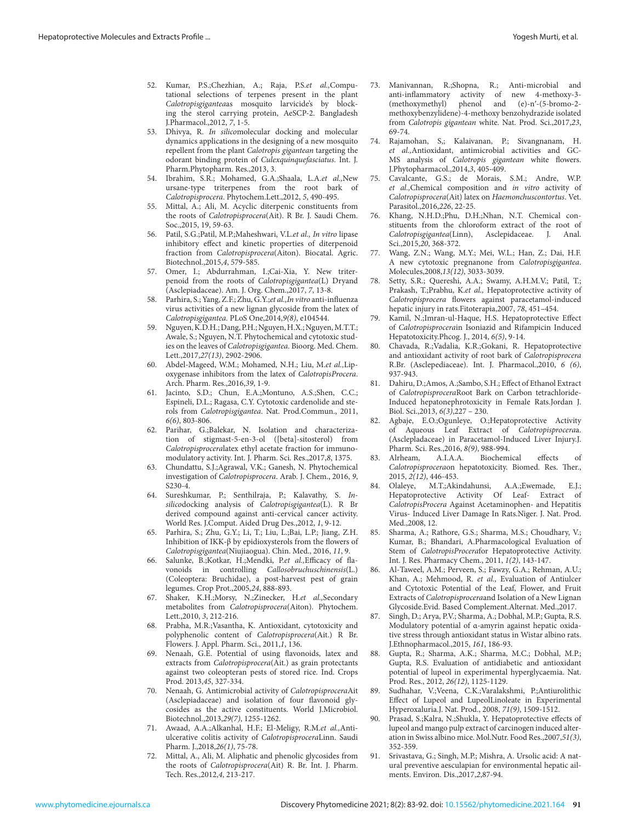- <span id="page-8-0"></span>52. Kumar, P.S.;Chezhian, A.; Raja, P.S.*et al.,*Computational selections of terpenes present in the plant *Calotropisgigantea*as mosquito larvicide's by blocking the sterol carrying protein, AeSCP-2. Bangladesh J.Pharmacol.,2012, *7*, 1-5.
- 53. Dhivya, R. *In silico*molecular docking and molecular dynamics applications in the designing of a new mosquito repellent from the plant *Calotropis gigantean* targeting the odorant binding protein of *Culexquinquefasciatus*. Int. J. Pharm.Phytopharm. Res.,2013, 3.
- 54. Ibrahim, S.R.; Mohamed, G.A.;Shaala, L.A.*et al.,*New ursane-type triterpenes from the root bark of *Calotropisprocera*. Phytochem.Lett.,2012, *5*, 490-495.
- 55. Mittal, A.; Ali, M. Acyclic diterpenic constituents from the roots of *Calotropisprocera*(Ait). R Br. J. Saudi Chem. Soc.,2015, 19, 59-63.
- 56. Patil, S.G.;Patil, M.P.;Maheshwari, V.L.*et al., In vitro* lipase inhibitory effect and kinetic properties of diterpenoid fraction from *Calotropisprocera*(Aiton). Biocatal. Agric. Biotechnol.,2015,*4*, 579-585.
- 57. Omer, I.; Abdurrahman, I.;Cai-Xia, Y. New triterpenoid from the roots of *Calotropisgigantea*(L) Dryand (Asclepiadaceae). Am. J. Org. Chem.,2017, *7*, 13-8.
- 58. Parhira, S.; Yang, Z.F.; Zhu, G.Y.;*et al.,In vitro* anti-influenza virus activities of a new lignan glycoside from the latex of *Calotropisgigantea*. PLoS One,2014,*9(8)*, e104544.
- 59. Nguyen, K.D.H.; Dang, P.H.; Nguyen, H.X.; Nguyen, M.T.T.; Awale, S.; Nguyen, N.T. Phytochemical and cytotoxic studies on the leaves of *Calotropisgigantea*. Bioorg. Med. Chem. Lett.,2017,*27(13)*, 2902-2906.
- 60. Abdel-Mageed, W.M.; Mohamed, N.H.; Liu, M.*et al.,*Lipoxygenase inhibitors from the latex of *CalotropisProcera*. Arch. Pharm. Res.,2016,*39*, 1-9.
- 61. Jacinto, S.D.; Chun, E.A.;Montuno, A.S.;Shen, C.C.; Espineli, D.L.; Ragasa, C.Y. Cytotoxic cardenolide and sterols from *Calotropisgigantea*. Nat. Prod.Commun., 2011, *6(6)*, 803-806.
- 62. Parihar, G.;Balekar, N. Isolation and characterization of stigmast-5-en-3-ol ([beta]-sitosterol) from *Calotropisprocera*latex ethyl acetate fraction for immunomodulatory activity. Int. J. Pharm. Sci. Res.,2017,*8*, 1375.
- 63. Chundattu, S.J.;Agrawal, V.K.; Ganesh, N. Phytochemical investigation of *Calotropisprocera*. Arab. J. Chem., 2016, *9*, S230-4.
- 64. Sureshkumar, P.; Senthilraja, P.; Kalavathy, S. *Insilico*docking analysis of *Calotropisgigantea*(L). R Br derived compound against anti-cervical cancer activity. World Res. J.Comput. Aided Drug Des.,2012, *1*, 9-12.
- 65. Parhira, S.; Zhu, G.Y.; Li, T.; Liu, L.;Bai, L.P.; Jiang, Z.H. Inhibition of IKK-β by epidioxysterols from the flowers of *Calotropisgigantea*(Niujiaogua). Chin. Med., 2016, *11*, 9.
- 66. Salunke, B.;Kotkar, H.;Mendki, P.*et al.,*Efficacy of flavonoids in controlling *Callosobruchuschinensis*(L.) (Coleoptera: Bruchidae), a post-harvest pest of grain legumes. Crop Prot.,2005,*24*, 888-893.
- 67. Shaker, K.H.;Morsy, N.;Zinecker, H.*et al.,*Secondary metabolites from *Calotropisprocera*(Aiton). Phytochem. Lett.,2010, *3*, 212-216.
- 68. Prabha, M.R.;Vasantha, K. Antioxidant, cytotoxicity and polyphenolic content of *Calotropisprocera*(Ait.) R Br. Flowers. J. Appl. Pharm. Sci., 2011,*1*, 136.
- 69. Nenaah, G.E. Potential of using flavonoids, latex and extracts from *Calotropisprocera*(Ait.) as grain protectants against two coleopteran pests of stored rice. Ind. Crops Prod. 2013,*45*, 327-334.
- 70. Nenaah, G. Antimicrobial activity of *Calotropisprocera*Ait (Asclepiadaceae) and isolation of four flavonoid glycosides as the active constituents. World J.Microbiol. Biotechnol.,2013,*29(7)*, 1255-1262.
- 71. Awaad, A.A.;Alkanhal, H.F.; El-Meligy, R.M.*et al.,*Antiulcerative colitis activity of *Calotropisprocera*Linn. Saudi Pharm. J.,2018,*26(1)*, 75-78.
- 72. Mittal, A., Ali, M. Aliphatic and phenolic glycosides from the roots of *Calotropisprocera*(Ait) R. Br. Int. J. Pharm. Tech. Res.,2012,*4*, 213-217.
- 73. Manivannan, R.;Shopna, R.; Anti-microbial and anti-inflammatory activity of new 4-methoxy-3-<br>(methoxymethyl) phenol and (e)-n'-(5-bromo-2and  $(e)-n'-(5-bromo-2$ methoxybenzylidene)-4-methoxy benzohydrazide isolated from *Calotropis gigantean* white. Nat. Prod. Sci.,2017,*23*, 69-74.
- 74. Rajamohan, S,; Kalaivanan, P.; Sivangnanam, H. *et al.,*Antioxidant, antimicrobial activities and GC-MS analysis of *Calotropis gigantean* white flowers. J.Phytopharmacol.,2014,*3*, 405-409.
- Cavalcante, G.S.; de Morais, S.M.; Andre, W.P. *et al.,*Chemical composition and *in vitro* activity of *Calotropisprocera*(Ait) latex on *Haemonchuscontortus*. Vet. Parasitol.,2016,*226*, 22-25.
- 76. Khang, N.H.D.;Phu, D.H.;Nhan, N.T. Chemical constituents from the chloroform extract of the root of *Calotropisgigantea*(Linn), Asclepidaceae. J. Anal. Sci.,2015,*20*, 368-372.
- 77. Wang, Z.N.; Wang, M.Y.; Mei, W.L.; Han, Z.; Dai, H.F. A new cytotoxic pregnanone from *Calotropisgigantea*. Molecules,2008,*13(12)*, 3033-3039.
- 78. Setty, S.R.; Quereshi, A.A.; Swamy, A.H.M.V.; Patil, T.; Prakash, T.;Prabhu, K.*et al.,* Hepatoprotective activity of *Calotropisprocera* flowers against paracetamol-induced hepatic injury in rats.Fitoterapia,2007, *78*, 451–454.
- Kamil, N.;Imran-ul-Haque, H.S. Hepatoprotective Effect of *Calotropisprocera*in Isoniazid and Rifampicin Induced Hepatotoxicity.Phcog. J., 2014, *6(5)*, 9-14.
- 80. Chavada, R.;Vadalia, K.R.;Gokani, R. Hepatoprotective and antioxidant activity of root bark of *Calotropisprocera* R.Br. (Asclepediaceae). Int. J. Pharmacol.,2010, *6 (6)*, 937-943.
- 81. Dahiru, D.;Amos, A.;Sambo, S.H.; Effect of Ethanol Extract of *Calotropisprocera*Root Bark on Carbon tetrachloride-Induced hepatonephrotoxicity in Female Rats.Jordan J. Biol. Sci.,2013, *6(3)*,227 – 230*.*
- 82. Agbaje, E.O.;Ogunleye, O.;Hepatoprotective Activity of Aqueous Leaf Extract of *Calotropisprocera*a. (Asclepladaceae) in Paracetamol-Induced Liver Injury.J. Pharm. Sci. Res.,2016, *8(9)*, 988-994.
- 83. Alrheam, A.I.A.A. Biochemical effects of *Calotropisprocera*on hepatotoxicity. Biomed. Res. Ther., 2015, *2(12)*, 446-453.
- 84. Olaleye, M.T.;Akindahunsi, A.A.;Ewemade, E.J.; Hepatoprotective Activity Of Leaf- Extract of *CalotropisProcera* Against Acetaminophen- and Hepatitis Virus- Induced Liver Damage In Rats.Niger. J. Nat. Prod. Med.,2008, 12.
- 85. Sharma, A.; Rathore, G.S.; Sharma, M.S.; Choudhary, V.; Kumar, B.; Bhandari, A.Pharmacological Evaluation of Stem of *CalotropisProcera*for Hepatoprotective Activity. Int. J. Res. Pharmacy Chem., 2011, *1(2)*, 143-147.
- 86. Al-Taweel, A.M.; Perveen, S.; Fawzy, G.A.; Rehman, A.U.; Khan, A.; Mehmood, R. *et al.,* Evaluation of Antiulcer and Cytotoxic Potential of the Leaf, Flower, and Fruit Extracts of *Calotropisprocera*and Isolation of a New Lignan Glycoside.Evid. Based Complement.Alternat. Med.,2017.
- 87. Singh, D.; Arya, P.V.; Sharma, A.; Dobhal, M.P.; Gupta, R.S. Modulatory potential of α-amyrin against hepatic oxidative stress through antioxidant status in Wistar albino rats. J.Ethnopharmacol.,2015, *161*, 186-93.
- 88. Gupta, R.; Sharma, A.K.; Sharma, M.C.; Dobhal, M.P.; Gupta, R.S. Evaluation of antidiabetic and antioxidant potential of lupeol in experimental hyperglycaemia. Nat. Prod. Res., 2012, *26(12)*, 1125-1129.
- 89. Sudhahar, V.;Veena, C.K.;Varalakshmi, P.;Antiurolithic Effect of Lupeol and LupeolLinoleate in Experimental Hyperoxaluria.J. Nat. Prod., 2008, *71(9)*, 1509-1512.
- 90. Prasad, S.;Kalra, N.;Shukla, Y. Hepatoprotective effects of lupeol and mango pulp extract of carcinogen induced alteration in Swiss albino mice. Mol.Nutr. Food Res.,2007,*51(3)*, 352-359.
- 91. Srivastava, G.; Singh, M.P.; Mishra, A. Ursolic acid: A natural preventive aesculapian for environmental hepatic ailments. Environ. Dis.,2017,*2*,87-94.